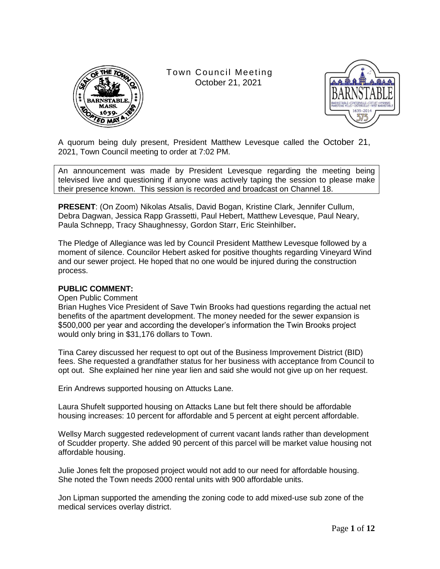

Town Council Meeting October 21, 2021



A quorum being duly present, President Matthew Levesque called the October 21, 2021, Town Council meeting to order at 7:02 PM.

An announcement was made by President Levesque regarding the meeting being televised live and questioning if anyone was actively taping the session to please make their presence known. This session is recorded and broadcast on Channel 18.

**PRESENT**: (On Zoom) Nikolas Atsalis, David Bogan, Kristine Clark, Jennifer Cullum, Debra Dagwan, Jessica Rapp Grassetti, Paul Hebert, Matthew Levesque, Paul Neary, Paula Schnepp, Tracy Shaughnessy, Gordon Starr, Eric Steinhilber**.**

The Pledge of Allegiance was led by Council President Matthew Levesque followed by a moment of silence. Councilor Hebert asked for positive thoughts regarding Vineyard Wind and our sewer project. He hoped that no one would be injured during the construction process.

### **PUBLIC COMMENT:**

Open Public Comment

Brian Hughes Vice President of Save Twin Brooks had questions regarding the actual net benefits of the apartment development. The money needed for the sewer expansion is \$500,000 per year and according the developer's information the Twin Brooks project would only bring in \$31,176 dollars to Town.

Tina Carey discussed her request to opt out of the Business Improvement District (BID) fees. She requested a grandfather status for her business with acceptance from Council to opt out. She explained her nine year lien and said she would not give up on her request.

Erin Andrews supported housing on Attucks Lane.

Laura Shufelt supported housing on Attacks Lane but felt there should be affordable housing increases: 10 percent for affordable and 5 percent at eight percent affordable.

Wellsy March suggested redevelopment of current vacant lands rather than development of Scudder property. She added 90 percent of this parcel will be market value housing not affordable housing.

Julie Jones felt the proposed project would not add to our need for affordable housing. She noted the Town needs 2000 rental units with 900 affordable units.

Jon Lipman supported the amending the zoning code to add mixed-use sub zone of the medical services overlay district.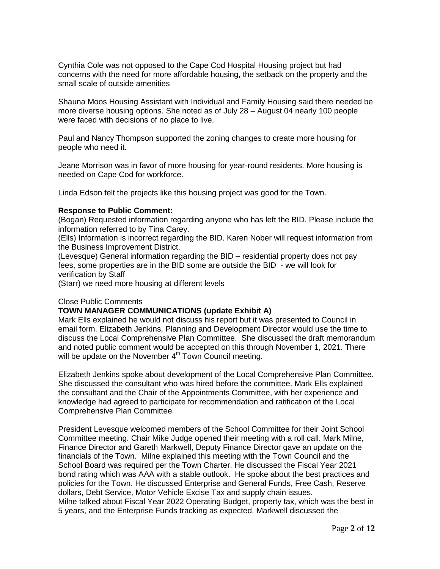Cynthia Cole was not opposed to the Cape Cod Hospital Housing project but had concerns with the need for more affordable housing, the setback on the property and the small scale of outside amenities

Shauna Moos Housing Assistant with Individual and Family Housing said there needed be more diverse housing options. She noted as of July 28 – August 04 nearly 100 people were faced with decisions of no place to live.

Paul and Nancy Thompson supported the zoning changes to create more housing for people who need it.

Jeane Morrison was in favor of more housing for year-round residents. More housing is needed on Cape Cod for workforce.

Linda Edson felt the projects like this housing project was good for the Town.

#### **Response to Public Comment:**

(Bogan) Requested information regarding anyone who has left the BID. Please include the information referred to by Tina Carey.

(Ells) Information is incorrect regarding the BID. Karen Nober will request information from the Business Improvement District.

(Levesque) General information regarding the BID – residential property does not pay fees, some properties are in the BID some are outside the BID - we will look for verification by Staff

(Starr) we need more housing at different levels

### Close Public Comments

### **TOWN MANAGER COMMUNICATIONS (update Exhibit A)**

Mark Ells explained he would not discuss his report but it was presented to Council in email form. Elizabeth Jenkins, Planning and Development Director would use the time to discuss the Local Comprehensive Plan Committee. She discussed the draft memorandum and noted public comment would be accepted on this through November 1, 2021. There will be update on the November 4<sup>th</sup> Town Council meeting.

Elizabeth Jenkins spoke about development of the Local Comprehensive Plan Committee. She discussed the consultant who was hired before the committee. Mark Ells explained the consultant and the Chair of the Appointments Committee, with her experience and knowledge had agreed to participate for recommendation and ratification of the Local Comprehensive Plan Committee.

President Levesque welcomed members of the School Committee for their Joint School Committee meeting. Chair Mike Judge opened their meeting with a roll call. Mark Milne, Finance Director and Gareth Markwell, Deputy Finance Director gave an update on the financials of the Town. Milne explained this meeting with the Town Council and the School Board was required per the Town Charter. He discussed the Fiscal Year 2021 bond rating which was AAA with a stable outlook. He spoke about the best practices and policies for the Town. He discussed Enterprise and General Funds, Free Cash, Reserve dollars, Debt Service, Motor Vehicle Excise Tax and supply chain issues. Milne talked about Fiscal Year 2022 Operating Budget, property tax, which was the best in 5 years, and the Enterprise Funds tracking as expected. Markwell discussed the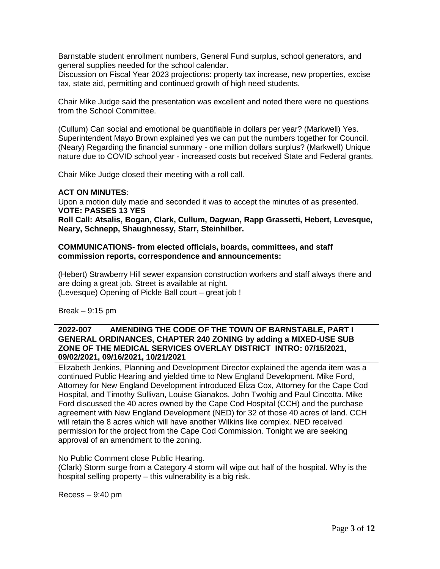Barnstable student enrollment numbers, General Fund surplus, school generators, and general supplies needed for the school calendar.

Discussion on Fiscal Year 2023 projections: property tax increase, new properties, excise tax, state aid, permitting and continued growth of high need students.

Chair Mike Judge said the presentation was excellent and noted there were no questions from the School Committee.

(Cullum) Can social and emotional be quantifiable in dollars per year? (Markwell) Yes. Superintendent Mayo Brown explained yes we can put the numbers together for Council. (Neary) Regarding the financial summary - one million dollars surplus? (Markwell) Unique nature due to COVID school year - increased costs but received State and Federal grants.

Chair Mike Judge closed their meeting with a roll call.

### **ACT ON MINUTES**:

Upon a motion duly made and seconded it was to accept the minutes of as presented. **VOTE: PASSES 13 YES**

**Roll Call: Atsalis, Bogan, Clark, Cullum, Dagwan, Rapp Grassetti, Hebert, Levesque, Neary, Schnepp, Shaughnessy, Starr, Steinhilber.**

### **COMMUNICATIONS- from elected officials, boards, committees, and staff commission reports, correspondence and announcements:**

(Hebert) Strawberry Hill sewer expansion construction workers and staff always there and are doing a great job. Street is available at night. (Levesque) Opening of Pickle Ball court – great job !

Break  $-9:15$  pm

### **2022-007 AMENDING THE CODE OF THE TOWN OF BARNSTABLE, PART I GENERAL ORDINANCES, CHAPTER 240 ZONING by adding a MIXED-USE SUB ZONE OF THE MEDICAL SERVICES OVERLAY DISTRICT INTRO: 07/15/2021, 09/02/2021, 09/16/2021, 10/21/2021**

Elizabeth Jenkins, Planning and Development Director explained the agenda item was a continued Public Hearing and yielded time to New England Development. Mike Ford, Attorney for New England Development introduced Eliza Cox, Attorney for the Cape Cod Hospital, and Timothy Sullivan, Louise Gianakos, John Twohig and Paul Cincotta. Mike Ford discussed the 40 acres owned by the Cape Cod Hospital (CCH) and the purchase agreement with New England Development (NED) for 32 of those 40 acres of land. CCH will retain the 8 acres which will have another Wilkins like complex. NED received permission for the project from the Cape Cod Commission. Tonight we are seeking approval of an amendment to the zoning.

No Public Comment close Public Hearing.

(Clark) Storm surge from a Category 4 storm will wipe out half of the hospital. Why is the hospital selling property – this vulnerability is a big risk.

Recess – 9:40 pm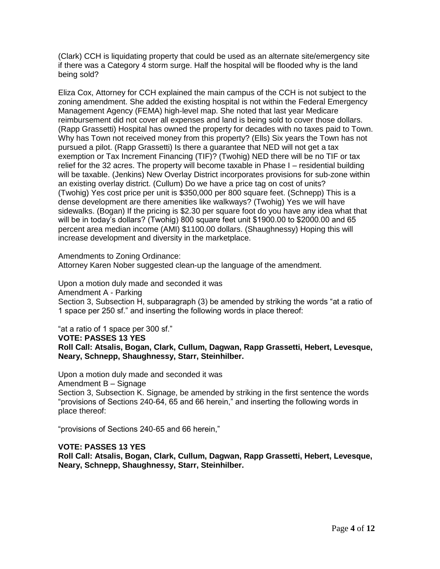(Clark) CCH is liquidating property that could be used as an alternate site/emergency site if there was a Category 4 storm surge. Half the hospital will be flooded why is the land being sold?

Eliza Cox, Attorney for CCH explained the main campus of the CCH is not subject to the zoning amendment. She added the existing hospital is not within the Federal Emergency Management Agency (FEMA) high-level map. She noted that last year Medicare reimbursement did not cover all expenses and land is being sold to cover those dollars. (Rapp Grassetti) Hospital has owned the property for decades with no taxes paid to Town. Why has Town not received money from this property? (Ells) Six years the Town has not pursued a pilot. (Rapp Grassetti) Is there a guarantee that NED will not get a tax exemption or Tax Increment Financing (TIF)? (Twohig) NED there will be no TIF or tax relief for the 32 acres. The property will become taxable in Phase I – residential building will be taxable. (Jenkins) New Overlay District incorporates provisions for sub-zone within an existing overlay district. (Cullum) Do we have a price tag on cost of units? (Twohig) Yes cost price per unit is \$350,000 per 800 square feet. (Schnepp) This is a dense development are there amenities like walkways? (Twohig) Yes we will have sidewalks. (Bogan) If the pricing is \$2.30 per square foot do you have any idea what that will be in today's dollars? (Twohig) 800 square feet unit \$1900.00 to \$2000.00 and 65 percent area median income (AMI) \$1100.00 dollars. (Shaughnessy) Hoping this will increase development and diversity in the marketplace.

Amendments to Zoning Ordinance:

Attorney Karen Nober suggested clean-up the language of the amendment.

Upon a motion duly made and seconded it was Amendment A - Parking Section 3, Subsection H, subparagraph (3) be amended by striking the words "at a ratio of 1 space per 250 sf." and inserting the following words in place thereof:

"at a ratio of 1 space per 300 sf."

**VOTE: PASSES 13 YES**

**Roll Call: Atsalis, Bogan, Clark, Cullum, Dagwan, Rapp Grassetti, Hebert, Levesque, Neary, Schnepp, Shaughnessy, Starr, Steinhilber.** 

Upon a motion duly made and seconded it was Amendment B – Signage Section 3, Subsection K. Signage, be amended by striking in the first sentence the words "provisions of Sections 240-64, 65 and 66 herein," and inserting the following words in place thereof:

"provisions of Sections 240-65 and 66 herein,"

### **VOTE: PASSES 13 YES**

**Roll Call: Atsalis, Bogan, Clark, Cullum, Dagwan, Rapp Grassetti, Hebert, Levesque, Neary, Schnepp, Shaughnessy, Starr, Steinhilber.**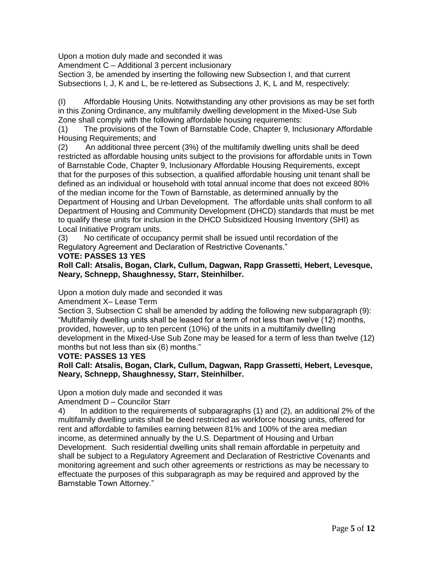Upon a motion duly made and seconded it was

Amendment C – Additional 3 percent inclusionary

Section 3, be amended by inserting the following new Subsection I, and that current Subsections I, J, K and L, be re-lettered as Subsections J, K, L and M, respectively:

(I) Affordable Housing Units. Notwithstanding any other provisions as may be set forth in this Zoning Ordinance, any multifamily dwelling development in the Mixed-Use Sub Zone shall comply with the following affordable housing requirements:

(1) The provisions of the Town of Barnstable Code, Chapter 9, Inclusionary Affordable Housing Requirements; and

(2) An additional three percent (3%) of the multifamily dwelling units shall be deed restricted as affordable housing units subject to the provisions for affordable units in Town of Barnstable Code, Chapter 9, Inclusionary Affordable Housing Requirements, except that for the purposes of this subsection, a qualified affordable housing unit tenant shall be defined as an individual or household with total annual income that does not exceed 80% of the median income for the Town of Barnstable, as determined annually by the Department of Housing and Urban Development. The affordable units shall conform to all Department of Housing and Community Development (DHCD) standards that must be met to qualify these units for inclusion in the DHCD Subsidized Housing Inventory (SHI) as Local Initiative Program units.

(3) No certificate of occupancy permit shall be issued until recordation of the Regulatory Agreement and Declaration of Restrictive Covenants."

# **VOTE: PASSES 13 YES**

**Roll Call: Atsalis, Bogan, Clark, Cullum, Dagwan, Rapp Grassetti, Hebert, Levesque, Neary, Schnepp, Shaughnessy, Starr, Steinhilber.** 

Upon a motion duly made and seconded it was

Amendment X– Lease Term

Section 3, Subsection C shall be amended by adding the following new subparagraph (9): "Multifamily dwelling units shall be leased for a term of not less than twelve (12) months, provided, however, up to ten percent (10%) of the units in a multifamily dwelling development in the Mixed-Use Sub Zone may be leased for a term of less than twelve (12) months but not less than six (6) months."

# **VOTE: PASSES 13 YES**

**Roll Call: Atsalis, Bogan, Clark, Cullum, Dagwan, Rapp Grassetti, Hebert, Levesque, Neary, Schnepp, Shaughnessy, Starr, Steinhilber.** 

Upon a motion duly made and seconded it was

Amendment D – Councilor Starr

4) In addition to the requirements of subparagraphs (1) and (2), an additional 2% of the multifamily dwelling units shall be deed restricted as workforce housing units, offered for rent and affordable to families earning between 81% and 100% of the area median income, as determined annually by the U.S. Department of Housing and Urban Development. Such residential dwelling units shall remain affordable in perpetuity and shall be subject to a Regulatory Agreement and Declaration of Restrictive Covenants and monitoring agreement and such other agreements or restrictions as may be necessary to effectuate the purposes of this subparagraph as may be required and approved by the Barnstable Town Attorney."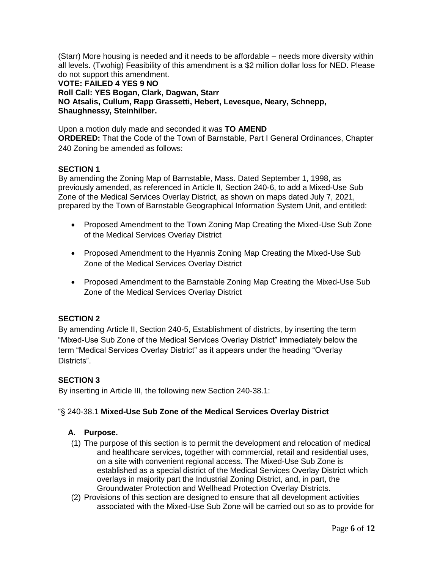(Starr) More housing is needed and it needs to be affordable – needs more diversity within all levels. (Twohig) Feasibility of this amendment is a \$2 million dollar loss for NED. Please do not support this amendment.

**VOTE: FAILED 4 YES 9 NO Roll Call: YES Bogan, Clark, Dagwan, Starr NO Atsalis, Cullum, Rapp Grassetti, Hebert, Levesque, Neary, Schnepp, Shaughnessy, Steinhilber.** 

Upon a motion duly made and seconded it was **TO AMEND ORDERED:** That the Code of the Town of Barnstable, Part I General Ordinances, Chapter 240 Zoning be amended as follows:

# **SECTION 1**

By amending the Zoning Map of Barnstable, Mass. Dated September 1, 1998, as previously amended, as referenced in Article II, Section 240-6, to add a Mixed-Use Sub Zone of the Medical Services Overlay District, as shown on maps dated July 7, 2021, prepared by the Town of Barnstable Geographical Information System Unit, and entitled:

- Proposed Amendment to the Town Zoning Map Creating the Mixed-Use Sub Zone of the Medical Services Overlay District
- Proposed Amendment to the Hyannis Zoning Map Creating the Mixed-Use Sub Zone of the Medical Services Overlay District
- Proposed Amendment to the Barnstable Zoning Map Creating the Mixed-Use Sub Zone of the Medical Services Overlay District

# **SECTION 2**

By amending Article II, Section 240-5, Establishment of districts, by inserting the term "Mixed-Use Sub Zone of the Medical Services Overlay District" immediately below the term "Medical Services Overlay District" as it appears under the heading "Overlay Districts".

# **SECTION 3**

By inserting in Article III, the following new Section 240-38.1:

# "§ 240-38.1 **Mixed-Use Sub Zone of the Medical Services Overlay District**

# **A. Purpose.**

- (1) The purpose of this section is to permit the development and relocation of medical and healthcare services, together with commercial, retail and residential uses, on a site with convenient regional access. The Mixed-Use Sub Zone is established as a special district of the Medical Services Overlay District which overlays in majority part the Industrial Zoning District, and, in part, the Groundwater Protection and Wellhead Protection Overlay Districts.
- (2) Provisions of this section are designed to ensure that all development activities associated with the Mixed-Use Sub Zone will be carried out so as to provide for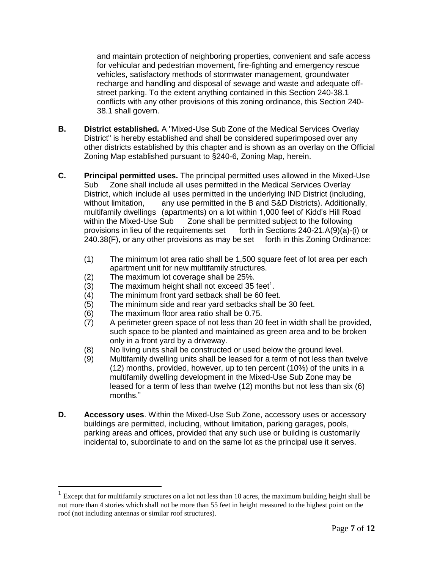and maintain protection of neighboring properties, convenient and safe access for vehicular and pedestrian movement, fire-fighting and emergency rescue vehicles, satisfactory methods of stormwater management, groundwater recharge and handling and disposal of sewage and waste and adequate offstreet parking. To the extent anything contained in this Section 240-38.1 conflicts with any other provisions of this zoning ordinance, this Section 240- 38.1 shall govern.

- **B. District established.** A "Mixed-Use Sub Zone of the Medical Services Overlay District" is hereby established and shall be considered superimposed over any other districts established by this chapter and is shown as an overlay on the Official Zoning Map established pursuant to §240-6, Zoning Map, herein.
- **C. Principal permitted uses.** The principal permitted uses allowed in the Mixed-Use Sub Zone shall include all uses permitted in the Medical Services Overlay District, which include all uses permitted in the underlying IND District (including, without limitation, any use permitted in the B and S&D Districts). Additionally, multifamily dwellings (apartments) on a lot within 1,000 feet of Kidd's Hill Road within the Mixed-Use Sub Zone shall be permitted subject to the following provisions in lieu of the requirements set forth in Sections 240-21.A(9)(a)-(i) or 240.38(F), or any other provisions as may be set forth in this Zoning Ordinance:
	- (1) The minimum lot area ratio shall be 1,500 square feet of lot area per each apartment unit for new multifamily structures.
	- (2) The maximum lot coverage shall be 25%.
	- $(3)$  The maximum height shall not exceed 35 feet<sup>1</sup>.
	- (4) The minimum front yard setback shall be 60 feet.
	- (5) The minimum side and rear yard setbacks shall be 30 feet.
	- (6) The maximum floor area ratio shall be 0.75.

 $\overline{a}$ 

- (7) A perimeter green space of not less than 20 feet in width shall be provided, such space to be planted and maintained as green area and to be broken only in a front yard by a driveway.
- (8) No living units shall be constructed or used below the ground level.
- (9) Multifamily dwelling units shall be leased for a term of not less than twelve (12) months, provided, however, up to ten percent (10%) of the units in a multifamily dwelling development in the Mixed-Use Sub Zone may be leased for a term of less than twelve (12) months but not less than six (6) months."
- **D. Accessory uses**. Within the Mixed-Use Sub Zone, accessory uses or accessory buildings are permitted, including, without limitation, parking garages, pools, parking areas and offices, provided that any such use or building is customarily incidental to, subordinate to and on the same lot as the principal use it serves.

<sup>&</sup>lt;sup>1</sup> Except that for multifamily structures on a lot not less than 10 acres, the maximum building height shall be not more than 4 stories which shall not be more than 55 feet in height measured to the highest point on the roof (not including antennas or similar roof structures).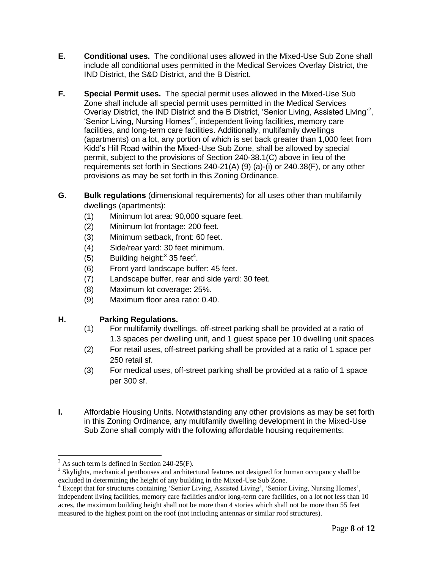- **E. Conditional uses.** The conditional uses allowed in the Mixed-Use Sub Zone shall include all conditional uses permitted in the Medical Services Overlay District, the IND District, the S&D District, and the B District.
- **F. Special Permit uses.** The special permit uses allowed in the Mixed-Use Sub Zone shall include all special permit uses permitted in the Medical Services Overlay District, the IND District and the B District, 'Senior Living, Assisted Living'<sup>2</sup>, 'Senior Living, Nursing Homes<sup>'2</sup>, independent living facilities, memory care facilities, and long-term care facilities. Additionally, multifamily dwellings (apartments) on a lot, any portion of which is set back greater than 1,000 feet from Kidd's Hill Road within the Mixed-Use Sub Zone, shall be allowed by special permit, subject to the provisions of Section 240-38.1(C) above in lieu of the requirements set forth in Sections 240-21(A) (9) (a)-(i) or 240.38(F), or any other provisions as may be set forth in this Zoning Ordinance.
- **G. Bulk regulations** (dimensional requirements) for all uses other than multifamily dwellings (apartments):
	- (1) Minimum lot area: 90,000 square feet.
	- (2) Minimum lot frontage: 200 feet.
	- (3) Minimum setback, front: 60 feet.
	- (4) Side/rear yard: 30 feet minimum.
	- (5) Building height: $335 \text{ feet}^4$ .
	- (6) Front yard landscape buffer: 45 feet.
	- (7) Landscape buffer, rear and side yard: 30 feet.
	- (8) Maximum lot coverage: 25%.
	- (9) Maximum floor area ratio: 0.40.

# **H. Parking Regulations.**

- (1) For multifamily dwellings, off-street parking shall be provided at a ratio of 1.3 spaces per dwelling unit, and 1 guest space per 10 dwelling unit spaces
- (2) For retail uses, off-street parking shall be provided at a ratio of 1 space per 250 retail sf.
- (3) For medical uses, off-street parking shall be provided at a ratio of 1 space per 300 sf.
- **I.** Affordable Housing Units. Notwithstanding any other provisions as may be set forth in this Zoning Ordinance, any multifamily dwelling development in the Mixed-Use Sub Zone shall comply with the following affordable housing requirements:

 $\overline{a}$ 

 $^{2}$  As such term is defined in Section 240-25(F).

<sup>&</sup>lt;sup>3</sup> Skylights, mechanical penthouses and architectural features not designed for human occupancy shall be excluded in determining the height of any building in the Mixed-Use Sub Zone.

<sup>&</sup>lt;sup>4</sup> Except that for structures containing 'Senior Living, Assisted Living', 'Senior Living, Nursing Homes', independent living facilities, memory care facilities and/or long-term care facilities, on a lot not less than 10 acres, the maximum building height shall not be more than 4 stories which shall not be more than 55 feet measured to the highest point on the roof (not including antennas or similar roof structures).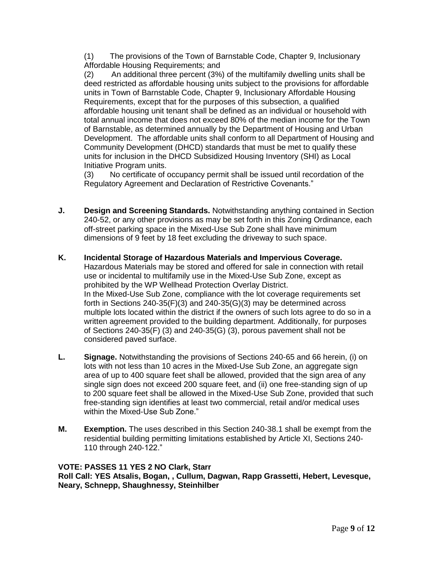(1) The provisions of the Town of Barnstable Code, Chapter 9, Inclusionary Affordable Housing Requirements; and

(2) An additional three percent (3%) of the multifamily dwelling units shall be deed restricted as affordable housing units subject to the provisions for affordable units in Town of Barnstable Code, Chapter 9, Inclusionary Affordable Housing Requirements, except that for the purposes of this subsection, a qualified affordable housing unit tenant shall be defined as an individual or household with total annual income that does not exceed 80% of the median income for the Town of Barnstable, as determined annually by the Department of Housing and Urban Development. The affordable units shall conform to all Department of Housing and Community Development (DHCD) standards that must be met to qualify these units for inclusion in the DHCD Subsidized Housing Inventory (SHI) as Local Initiative Program units.

(3) No certificate of occupancy permit shall be issued until recordation of the Regulatory Agreement and Declaration of Restrictive Covenants."

- **J. Design and Screening Standards.** Notwithstanding anything contained in Section 240-52, or any other provisions as may be set forth in this Zoning Ordinance, each off-street parking space in the Mixed-Use Sub Zone shall have minimum dimensions of 9 feet by 18 feet excluding the driveway to such space.
- **K. Incidental Storage of Hazardous Materials and Impervious Coverage.**  Hazardous Materials may be stored and offered for sale in connection with retail use or incidental to multifamily use in the Mixed-Use Sub Zone, except as prohibited by the WP Wellhead Protection Overlay District. In the Mixed-Use Sub Zone, compliance with the lot coverage requirements set forth in Sections 240-35(F)(3) and 240-35(G)(3) may be determined across multiple lots located within the district if the owners of such lots agree to do so in a written agreement provided to the building department. Additionally, for purposes of Sections 240-35(F) (3) and 240-35(G) (3), porous pavement shall not be considered paved surface.
- **L. Signage.** Notwithstanding the provisions of Sections 240-65 and 66 herein, (i) on lots with not less than 10 acres in the Mixed-Use Sub Zone, an aggregate sign area of up to 400 square feet shall be allowed, provided that the sign area of any single sign does not exceed 200 square feet, and (ii) one free-standing sign of up to 200 square feet shall be allowed in the Mixed-Use Sub Zone, provided that such free-standing sign identifies at least two commercial, retail and/or medical uses within the Mixed-Use Sub Zone."
- **M. Exemption.** The uses described in this Section 240-38.1 shall be exempt from the residential building permitting limitations established by Article XI, Sections 240- 110 through 240-122."

# **VOTE: PASSES 11 YES 2 NO Clark, Starr**

**Roll Call: YES Atsalis, Bogan, , Cullum, Dagwan, Rapp Grassetti, Hebert, Levesque, Neary, Schnepp, Shaughnessy, Steinhilber**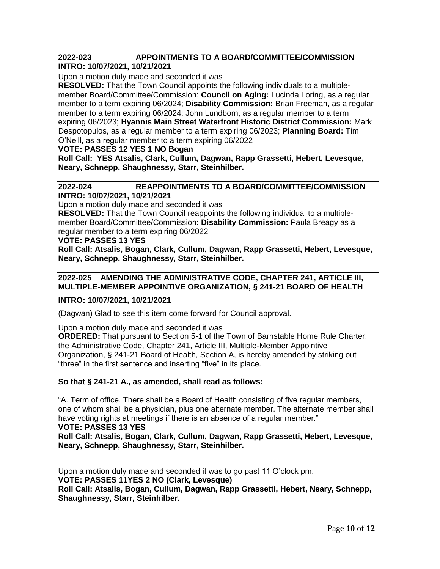# **2022-023 APPOINTMENTS TO A BOARD/COMMITTEE/COMMISSION INTRO: 10/07/2021, 10/21/2021**

Upon a motion duly made and seconded it was

**RESOLVED:** That the Town Council appoints the following individuals to a multiplemember Board/Committee/Commission: **Council on Aging:** Lucinda Loring, as a regular member to a term expiring 06/2024; **Disability Commission:** Brian Freeman, as a regular member to a term expiring 06/2024; John Lundborn, as a regular member to a term expiring 06/2023; **Hyannis Main Street Waterfront Historic District Commission:** Mark Despotopulos, as a regular member to a term expiring 06/2023; **Planning Board:** Tim O'Neill, as a regular member to a term expiring 06/2022

### **VOTE: PASSES 12 YES 1 NO Bogan**

**Roll Call: YES Atsalis, Clark, Cullum, Dagwan, Rapp Grassetti, Hebert, Levesque, Neary, Schnepp, Shaughnessy, Starr, Steinhilber.**

### **2022-024 REAPPOINTMENTS TO A BOARD/COMMITTEE/COMMISSION INTRO: 10/07/2021, 10/21/2021**

Upon a motion duly made and seconded it was

**RESOLVED:** That the Town Council reappoints the following individual to a multiplemember Board/Committee/Commission: **Disability Commission:** Paula Breagy as a regular member to a term expiring 06/2022

### **VOTE: PASSES 13 YES**

**Roll Call: Atsalis, Bogan, Clark, Cullum, Dagwan, Rapp Grassetti, Hebert, Levesque, Neary, Schnepp, Shaughnessy, Starr, Steinhilber.** 

# **2022-025 AMENDING THE ADMINISTRATIVE CODE, CHAPTER 241, ARTICLE III, MULTIPLE-MEMBER APPOINTIVE ORGANIZATION, § 241-21 BOARD OF HEALTH**

**INTRO: 10/07/2021, 10/21/2021** 

(Dagwan) Glad to see this item come forward for Council approval.

Upon a motion duly made and seconded it was

**ORDERED:** That pursuant to Section 5-1 of the Town of Barnstable Home Rule Charter, the Administrative Code, Chapter 241, Article III, Multiple-Member Appointive Organization, § 241-21 Board of Health, Section A, is hereby amended by striking out "three" in the first sentence and inserting "five" in its place.

# **So that § 241-21 A., as amended, shall read as follows:**

"A. Term of office. There shall be a Board of Health consisting of five regular members, one of whom shall be a physician, plus one alternate member. The alternate member shall have voting rights at meetings if there is an absence of a regular member." **VOTE: PASSES 13 YES** 

**Roll Call: Atsalis, Bogan, Clark, Cullum, Dagwan, Rapp Grassetti, Hebert, Levesque, Neary, Schnepp, Shaughnessy, Starr, Steinhilber.** 

Upon a motion duly made and seconded it was to go past 11 O'clock pm. **VOTE: PASSES 11YES 2 NO (Clark, Levesque) Roll Call: Atsalis, Bogan, Cullum, Dagwan, Rapp Grassetti, Hebert, Neary, Schnepp, Shaughnessy, Starr, Steinhilber.**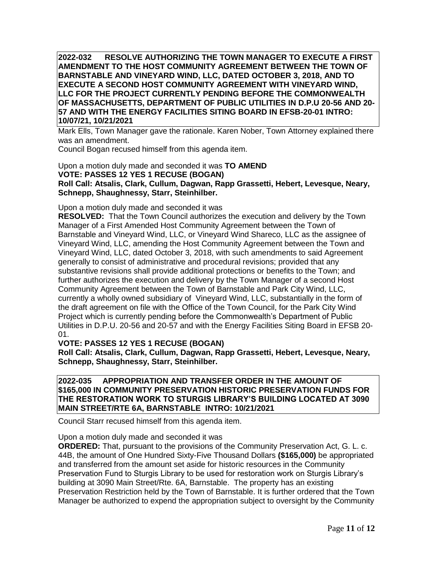**2022-032 RESOLVE AUTHORIZING THE TOWN MANAGER TO EXECUTE A FIRST AMENDMENT TO THE HOST COMMUNITY AGREEMENT BETWEEN THE TOWN OF BARNSTABLE AND VINEYARD WIND, LLC, DATED OCTOBER 3, 2018, AND TO EXECUTE A SECOND HOST COMMUNITY AGREEMENT WITH VINEYARD WIND, LLC FOR THE PROJECT CURRENTLY PENDING BEFORE THE COMMONWEALTH OF MASSACHUSETTS, DEPARTMENT OF PUBLIC UTILITIES IN D.P.U 20-56 AND 20- 57 AND WITH THE ENERGY FACILITIES SITING BOARD IN EFSB-20-01 INTRO: 10/07/21, 10/21/2021** 

Mark Ells, Town Manager gave the rationale. Karen Nober, Town Attorney explained there was an amendment.

Council Bogan recused himself from this agenda item.

Upon a motion duly made and seconded it was **TO AMEND VOTE: PASSES 12 YES 1 RECUSE (BOGAN) Roll Call: Atsalis, Clark, Cullum, Dagwan, Rapp Grassetti, Hebert, Levesque, Neary, Schnepp, Shaughnessy, Starr, Steinhilber.** 

Upon a motion duly made and seconded it was

**RESOLVED:** That the Town Council authorizes the execution and delivery by the Town Manager of a First Amended Host Community Agreement between the Town of Barnstable and Vineyard Wind, LLC, or Vineyard Wind Shareco, LLC as the assignee of Vineyard Wind, LLC, amending the Host Community Agreement between the Town and Vineyard Wind, LLC, dated October 3, 2018, with such amendments to said Agreement generally to consist of administrative and procedural revisions; provided that any substantive revisions shall provide additional protections or benefits to the Town; and further authorizes the execution and delivery by the Town Manager of a second Host Community Agreement between the Town of Barnstable and Park City Wind, LLC, currently a wholly owned subsidiary of Vineyard Wind, LLC, substantially in the form of the draft agreement on file with the Office of the Town Council, for the Park City Wind Project which is currently pending before the Commonwealth's Department of Public Utilities in D.P.U. 20-56 and 20-57 and with the Energy Facilities Siting Board in EFSB 20- 01.

**VOTE: PASSES 12 YES 1 RECUSE (BOGAN)**

**Roll Call: Atsalis, Clark, Cullum, Dagwan, Rapp Grassetti, Hebert, Levesque, Neary, Schnepp, Shaughnessy, Starr, Steinhilber.** 

**2022-035 APPROPRIATION AND TRANSFER ORDER IN THE AMOUNT OF \$165,000 IN COMMUNITY PRESERVATION HISTORIC PRESERVATION FUNDS FOR THE RESTORATION WORK TO STURGIS LIBRARY'S BUILDING LOCATED AT 3090 MAIN STREET/RTE 6A, BARNSTABLE INTRO: 10/21/2021** 

Council Starr recused himself from this agenda item.

Upon a motion duly made and seconded it was

**ORDERED:** That, pursuant to the provisions of the Community Preservation Act, G. L. c. 44B, the amount of One Hundred Sixty-Five Thousand Dollars **(\$165,000)** be appropriated and transferred from the amount set aside for historic resources in the Community Preservation Fund to Sturgis Library to be used for restoration work on Sturgis Library's building at 3090 Main Street/Rte. 6A, Barnstable. The property has an existing Preservation Restriction held by the Town of Barnstable. It is further ordered that the Town Manager be authorized to expend the appropriation subject to oversight by the Community